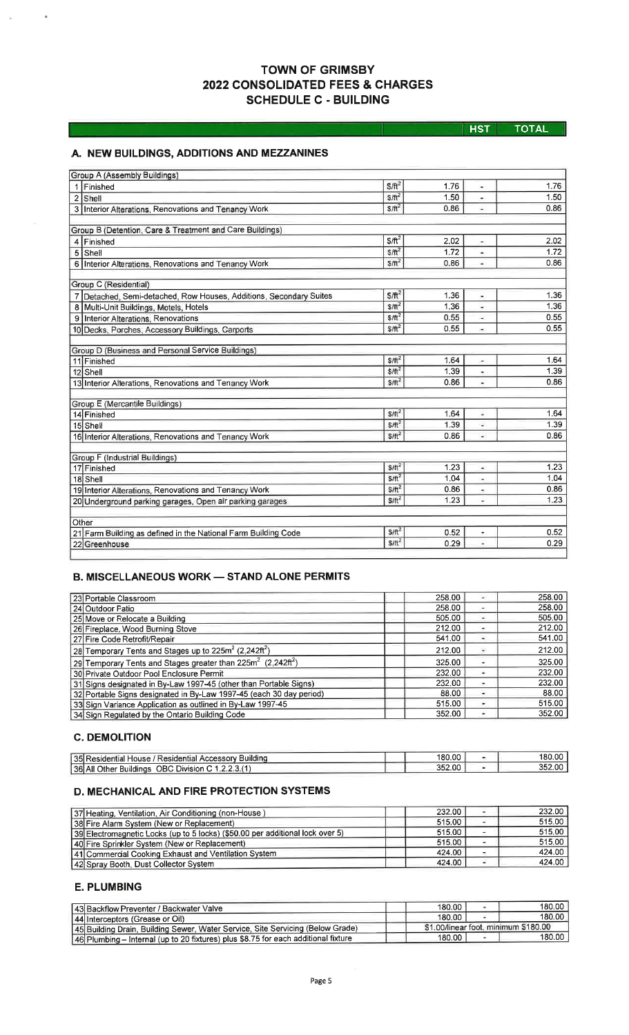# **TOWN OF GRIMSBY** 2022 CONSOLIDATED FEES & CHARGES **SCHEDULE C - BUILDING**

HST TOTAL

# A. NEW BUILDINGS, ADDITIONS AND MEZZANINES

| Group A (Assembly Buildings)                                       |                          |      |                          |      |
|--------------------------------------------------------------------|--------------------------|------|--------------------------|------|
| 1 Finished                                                         | $$/ft^2$                 | 1.76 |                          | 1.76 |
| $2$ Shell                                                          | $$$ / $\text{ft}^2$      | 1.50 | $\bullet$                | 1.50 |
| 3 Interior Alterations, Renovations and Tenancy Work               | $$/ft^2$                 | 0.86 | ۰                        | 0.86 |
|                                                                    |                          |      |                          |      |
| Group B (Detention, Care & Treatment and Care Buildings)           |                          |      |                          |      |
| 4 Finished                                                         | $$/ft^2$$                | 2.02 | ÷.                       | 2.02 |
| $5$ Shell                                                          | $$/ft^2$                 | 1.72 | ÷,                       | 1.72 |
| 6 Interior Alterations, Renovations and Tenancy Work               | $$/ft^2$$                | 0.86 | ä.                       | 0.86 |
| Group C (Residential)                                              |                          |      |                          |      |
| 7 Detached, Semi-detached, Row Houses, Additions, Secondary Suites | $$/ft^2$                 | 1.36 | ÷,                       | 1.36 |
| Multi-Unit Buildings, Motels, Hotels<br>8                          | $$/ft^2$$                | 1.36 | ü.                       | 1.36 |
| 9 Interior Alterations, Renovations                                | $$$ / $\text{ft}^2$      | 0.55 |                          | 0.55 |
| 10 Decks, Porches, Accessory Buildings, Carports                   | $S/ft^2$                 | 0.55 | $\bullet$                | 0.55 |
|                                                                    |                          |      |                          |      |
| Group D (Business and Personal Service Buildings)                  |                          |      |                          |      |
| 11 Finished                                                        | SH <sup>2</sup>          | 1.64 | ۰                        | 1.64 |
| 12 Shell                                                           | $$$ / $\pi$ <sup>2</sup> | 1.39 | ۰                        | 1.39 |
| 13 Interior Alterations, Renovations and Tenancy Work              | $$/ft^2$                 | 0.86 | $\frac{1}{2}$            | 0.86 |
|                                                                    |                          |      |                          |      |
| Group E (Mercantile Buildings)                                     |                          |      |                          |      |
| 14 Finished                                                        | SH <sup>2</sup>          | 1.64 |                          | 1.64 |
| 15 Shell                                                           | $$/ft^2$                 | 1.39 | ٠                        | 1.39 |
| 16 Interior Alterations, Renovations and Tenancy Work              | $$$ /ft <sup>2</sup>     | 0.86 | ¥.                       | 0.86 |
| Group F (Industrial Buildings)                                     |                          |      |                          |      |
| 17 Finished                                                        | $$/ft^2$                 | 1.23 | ٠                        | 1.23 |
| 18 Shell                                                           | $$/ft^2$                 | 1.04 | ۰                        | 1.04 |
| 19 Interior Alterations, Renovations and Tenancy Work              | $S/H^2$                  | 0.86 | $\overline{\phantom{a}}$ | 0.86 |
| 20 Underground parking garages, Open air parking garages           | $$/ft^2$                 | 1.23 | $\overline{\phantom{a}}$ | 1,23 |
|                                                                    |                          |      |                          |      |
| Other                                                              |                          |      |                          |      |
| 21 Farm Building as defined in the National Farm Building Code     | $S/\hat{\pi}^2$          | 0.52 | ÷.                       | 0.52 |
| 22 Greenhouse                                                      | $$/ft^2$                 | 0.29 | ۷                        | 0.29 |
|                                                                    |                          |      |                          |      |

# **B. MISCELLANEOUS WORK - STAND ALONE PERMITS**

| 23 Portable Classroom                                                                | 258.00 | ۰                        | 258.00 |
|--------------------------------------------------------------------------------------|--------|--------------------------|--------|
| 24 Outdoor Patio                                                                     | 258.00 | ۰                        | 258.00 |
| 25 Move or Relocate a Building                                                       | 505.00 | ۰                        | 505.00 |
| 26 Fireplace, Wood Burning Stove                                                     | 212.00 | ۰                        | 212.00 |
| 27 Fire Code Retrofit/Repair                                                         | 541.00 | $\overline{\phantom{a}}$ | 541.00 |
| 28 Temporary Tents and Stages up to $225m^2$ (2,242ft <sup>2</sup> )                 | 212.00 | $\frac{1}{2}$            | 212.00 |
| 29 Temporary Tents and Stages greater than 225m <sup>2</sup> (2,242ft <sup>2</sup> ) | 325.00 | ۰                        | 325.00 |
| 30 Private Outdoor Pool Enclosure Permit                                             | 232.00 | ۰                        | 232.00 |
| 31 Signs designated in By-Law 1997-45 (other than Portable Signs)                    | 232.00 | ٠                        | 232.00 |
| 32 Portable Signs designated in By-Law 1997-45 (each 30 day period)                  | 88.00  | ٠                        | 88.00  |
| 33 Sign Variance Application as outlined in By-Law 1997-45                           | 515.00 | ٠                        | 515.00 |
| 34 Sign Regulated by the Ontario Building Code                                       | 352.00 | ٠                        | 352.00 |

## **C. DEMOLITION**

| 35 Residential House / Residential Accessory Building | 180.00 | 180.00 |
|-------------------------------------------------------|--------|--------|
| [36] All Other Buildings OBC Division C 1.            | 352.00 | 352.00 |

## **D. MECHANICAL AND FIRE PROTECTION SYSTEMS**

| 37 Heating, Ventilation, Air Conditioning (non-House)                         | 232.00 | 232.00 |
|-------------------------------------------------------------------------------|--------|--------|
| 38 Fire Alarm System (New or Replacement)                                     | 515.00 | 515.00 |
| 39 Electromagnetic Locks (up to 5 locks) (\$50.00 per additional lock over 5) | 515.00 | 515.00 |
| 40 Fire Sprinkler System (New or Replacement)                                 | 515.00 | 515.00 |
| 41 Commercial Cooking Exhaust and Ventilation System                          | 424.00 | 424.00 |
| 42 Spray Booth, Dust Collector System                                         | 424.00 | 424.00 |

## **E. PLUMBING**

| 43 Backflow Preventer / Backwater Valve                                              | 180.00                               |  | 180.00 <sub>1</sub> |
|--------------------------------------------------------------------------------------|--------------------------------------|--|---------------------|
| [44] Interceptors (Grease or Oil)                                                    | 180.00                               |  | 180.00 <sub>h</sub> |
| [45] Building Drain, Building Sewer, Water Service, Site Servicing (Below Grade)     | \$1,00/linear foot, minimum \$180.00 |  |                     |
| [46] Plumbing - Internal (up to 20 fixtures) plus \$8.75 for each additional fixture | 180.00                               |  | 180.00              |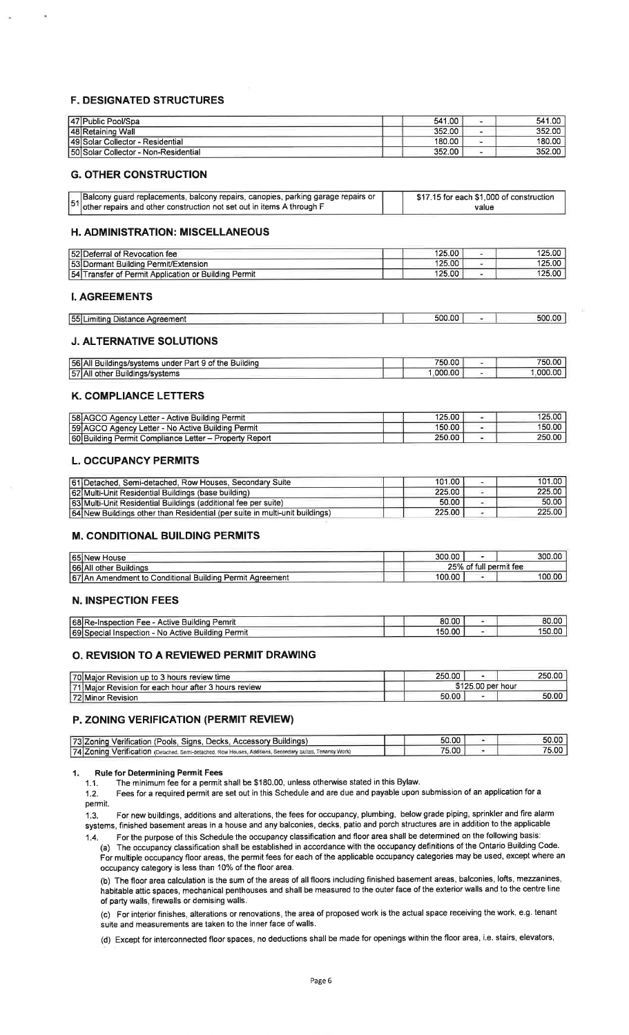#### F. DESIGNATED STRUCTURES

| 47 Public Pool/Spa                    | 541.00 | 541.00 |
|---------------------------------------|--------|--------|
| 48 Retaining Wall                     | 352.00 | 352.00 |
| 149 Solar Collector - Residential     | 180.00 | 180.00 |
| 150 Solar Collector - Non-Residential | 352.00 | 352.00 |

#### G. OTHER CONSTRUCTION

| Balcony guard replacements, balcony repairs, canopies, parking garage repairs or   | \$17.15 for each \$1,000 of construction |
|------------------------------------------------------------------------------------|------------------------------------------|
| $^{\prime}$ lother repairs and other construction not set out in items A through F | value                                    |

#### H. ADMINISTRATION: MISCELLANEOUS

| 52 Deferral of Revocation fee                            | 125.00 | 125.00 |
|----------------------------------------------------------|--------|--------|
| 53 Dormant Building Permit/Extension                     | 125.00 | 125.00 |
| 154 Transfer of Permit Application or Building<br>Permit | 125.00 | 125.00 |

#### I. AGREEMENTS

| ____<br>55 Limiting<br>the control of the control of the control of<br>Distance Agreement | 500.00 |  |
|-------------------------------------------------------------------------------------------|--------|--|
|                                                                                           |        |  |

#### J. ALTERNATIVE SOLUTIONS

| Buildina<br>  56  AII B<br><sup>1</sup> Buildings/systems under Part 9 of the L | 750.00 | 750.00  |
|---------------------------------------------------------------------------------|--------|---------|
| 57 AII<br>* Buildings/systems<br>., other                                       | 000.00 | .000.00 |

#### K, COMPLIANCE LETTERS

| 58 AGCO Agency Letter - Active Building Permit         | 125.00 | 125.00              |
|--------------------------------------------------------|--------|---------------------|
| 59 AGCO Agency Letter - No Active Building Permit      | 150.00 | 150.00 <sub>1</sub> |
| 60 Building Permit Compliance Letter - Property Report | 250.00 | 250.00              |

#### L. OCCUPANCY PERMITS

| 61 Detached, Semi-detached, Row Houses, Secondary Suite                     | 101.00 | 101.00 |
|-----------------------------------------------------------------------------|--------|--------|
| 62 Multi-Unit Residential Buildings (base building)                         | 225.00 | 225.00 |
| 63 Multi-Unit Residential Buildings (additional fee per suite)              | 50.00  | 50.00  |
| 64 New Buildings other than Residential (per suite in multi-unit buildings) | 225.00 | 225.00 |

### M. CONDITIONAL BUILDING PERMITS

| 65 New House                                             | 300.00                 |  | 300.00 |
|----------------------------------------------------------|------------------------|--|--------|
| <b>66 All other Buildings</b>                            | 25% of full permit fee |  |        |
| 67 An Amendment to Conditional Building Permit Agreement | 100.00                 |  | 100.00 |

#### N.INSPECTION FEES

| 68 Re-Inspection Fee - Active Building Pemrit     | 80.00  | 80.00  |
|---------------------------------------------------|--------|--------|
| 69 Special Inspection - No Active Building Permit | 150.00 | 150.00 |

### O. REVISION TO A REVIEWED PERMIT DRAWING

| 70 Maior Revision up to 3 hours review time          | 250.00 |                   | 250.00 |  |
|------------------------------------------------------|--------|-------------------|--------|--|
| 71 Maior Revision for each hour after 3 hours review |        | \$125.00 per hour |        |  |
| 72 Minor Revision                                    | 50.00  |                   | 50.00  |  |

### P. ZONING VERIFICATION (PERMIT REVIEW)

| 73 Zoning Verification (Pools, Signs, Decks, Accessory Buildings)                                       | 50.00 | 50.00 |
|---------------------------------------------------------------------------------------------------------|-------|-------|
| 74 Zoning Verification (Detached, Semi-detached, Row Houses, Additions, Secondary Suites, Tenancy Work) | 75.00 | 75.00 |

#### $1<sub>x</sub>$ Rule for Determining Permit Fees<br>1.1. The minimum fee for a permit

<sup>1</sup>.1 . The minimum fee for a permit shall be \$180.00, unless otherwise stated in this Bylaw.

1.2. Fees for a required permit are set out in this Schedule and are due and payable upon submission of an application for a permit.

1.3. For new buildings, additions and alterations, the fees for occupancy, plumbing, below grade piping, sprinkler and fire alarmsystems, finished basement areas in a house and any balconies, decks, patio and porch structures are in addition to the applicable

1.4. For the purpose of this Schedule the occupancy classification and floor area shall be determined on the following basis: (a) The occupancy classification shall be established in accordance with the occupancy definitions of the Ontario Building Code. For multiple occupancy floor areas, the permit fees for each of the applicable occupancy categories may be used, except where an occupancy category is less than 10% of the floor area.

(b) The floor area calculation is the sum of the areas of all floors including finished basement areas, balconies, lofts, mezzanines, habitable attic spaces, mechanical penthouses and shall be measured to the outer face of the exterior walls and to the centre lineof party walls, firewalls or demising walls.

(c) For interior finishes, alterations or renovations, the area of proposed work is the actual space receiving the work, e.g. tenant suite and measurements are taken to the inner face of walls.

(d) Except for interconnected floor spaces, no deductions shall be made for openings within the floor area, i.e. stairs, elevators,